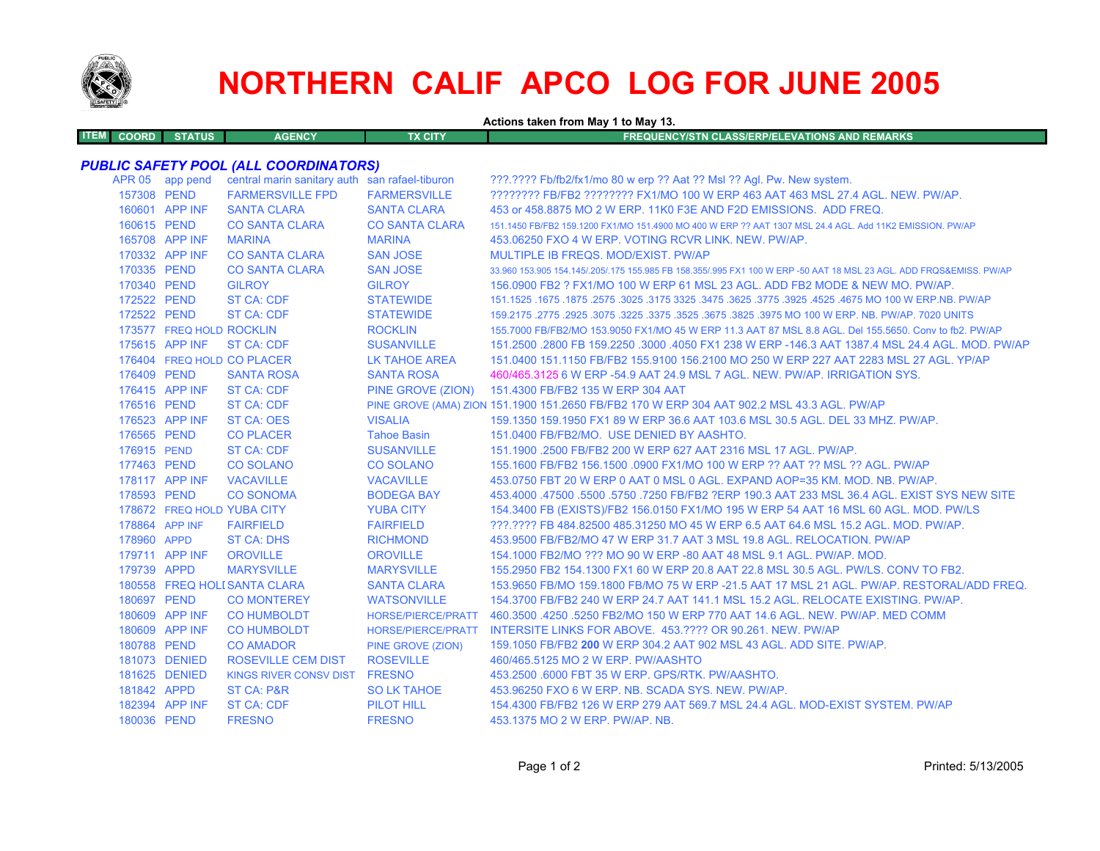

# **NORTHERN CALIF APCO LOG FOR JUNE 2005**

**Actions taken from May 1 to May 13.**

| <b>ITEM COORD STATUS</b> | <b>AGENCY</b> | TX CITY | FREQUENCY/STN CLASS/ERP/ELEVATIONS AND REMARKS \ |
|--------------------------|---------------|---------|--------------------------------------------------|
|                          |               |         |                                                  |

# *PUBLIC SAFETY POOL (ALL COORDINATORS)*

|             | APR 05 app pend          | central marin sanitary auth san rafael-tiburon |                       | ???.???? Fb/fb2/fx1/mo 80 w erp ?? Aat ?? Msl ?? Agl. Pw. New system.                                               |
|-------------|--------------------------|------------------------------------------------|-----------------------|---------------------------------------------------------------------------------------------------------------------|
| 157308 PEND |                          | <b>FARMERSVILLE FPD</b>                        | <b>FARMERSVILLE</b>   | ???????? FB/FB2 ??????? FX1/MO 100 W ERP 463 AAT 463 MSL 27.4 AGL. NEW. PW/AP.                                      |
|             | 160601 APP INF           | <b>SANTA CLARA</b>                             | <b>SANTA CLARA</b>    | 453 or 458,8875 MO 2 W ERP, 11K0 F3E AND F2D EMISSIONS. ADD FREQ.                                                   |
| 160615 PEND |                          | <b>CO SANTA CLARA</b>                          | <b>CO SANTA CLARA</b> | 151.1450 FB/FB2 159.1200 FX1/MO 151.4900 MO 400 W ERP ?? AAT 1307 MSL 24.4 AGL. Add 11K2 EMISSION. PW/AP            |
|             | 165708 APP INF           | <b>MARINA</b>                                  | <b>MARINA</b>         | 453.06250 FXO 4 W ERP. VOTING RCVR LINK, NEW, PW/AP.                                                                |
|             | 170332 APP INF           | <b>CO SANTA CLARA</b>                          | <b>SAN JOSE</b>       | MULTIPLE IB FREQS, MOD/EXIST, PW/AP                                                                                 |
| 170335 PEND |                          | <b>CO SANTA CLARA</b>                          | <b>SAN JOSE</b>       | 33,960 153,905 154,145/.205/.175 155,985 FB 158,355/.995 FX1 100 W ERP -50 AAT 18 MSL 23 AGL, ADD FRQS&EMISS, PW/AP |
| 170340 PEND |                          | <b>GILROY</b>                                  | <b>GILROY</b>         | 156,0900 FB2 ? FX1/MO 100 W ERP 61 MSL 23 AGL. ADD FB2 MODE & NEW MO. PW/AP.                                        |
| 172522 PEND |                          | <b>ST CA: CDF</b>                              | <b>STATEWIDE</b>      | 151.1525 .1675 .1675 .3025 .3775 .3625 .3775 .3925 .3775 .3925 .3775 .3925 .1675 .1675 .1675 .1675 .                |
| 172522 PEND |                          | <b>ST CA: CDF</b>                              | <b>STATEWIDE</b>      | 159.2175 .2775 .2925 .3075 .3225 .3675 .3675 .3825 .3975 MO 100 W ERP. NB. PW/AP. 7020 UNITS                        |
|             | 173577 FREQ HOLD ROCKLIN |                                                | <b>ROCKLIN</b>        | 155,7000 FB/FB2/MO 153,9050 FX1/MO 45 W ERP 11.3 AAT 87 MSL 8.8 AGL, Del 155,5650, Conv to fb2, PW/AP               |
|             | 175615 APP INF           | ST CA: CDF                                     | <b>SUSANVILLE</b>     | 151.2500 .2800 FB 159.2250 .3000 .4050 FX1 238 W ERP -146.3 AAT 1387.4 MSL 24.4 AGL, MOD, PW/AP                     |
|             |                          | 176404 FREQ HOLD CO PLACER                     | <b>LK TAHOE AREA</b>  | 151.0400 151.1150 FB/FB2 155.9100 156.2100 MO 250 W ERP 227 AAT 2283 MSL 27 AGL. YP/AP                              |
| 176409 PEND |                          | <b>SANTA ROSA</b>                              | <b>SANTA ROSA</b>     | 460/465.3125 6 W ERP -54.9 AAT 24.9 MSL 7 AGL, NEW, PW/AP, IRRIGATION SYS.                                          |
|             | 176415 APP INF           | <b>ST CA: CDF</b>                              |                       | PINE GROVE (ZION) 151.4300 FB/FB2 135 W ERP 304 AAT                                                                 |
| 176516 PEND |                          | <b>ST CA: CDF</b>                              |                       | PINE GROVE (AMA) ZION 151.1900 151.2650 FB/FB2 170 W ERP 304 AAT 902.2 MSL 43.3 AGL, PW/AP                          |
|             | 176523 APP INF           | <b>ST CA: OES</b>                              | <b>VISALIA</b>        | 159.1350 159.1950 FX1 89 W ERP 36.6 AAT 103.6 MSL 30.5 AGL. DEL 33 MHZ. PW/AP.                                      |
| 176565 PEND |                          | <b>CO PLACER</b>                               | <b>Tahoe Basin</b>    | 151.0400 FB/FB2/MO. USE DENIED BY AASHTO.                                                                           |
| 176915 PEND |                          | <b>ST CA: CDF</b>                              | <b>SUSANVILLE</b>     | 151.1900 .2500 FB/FB2 200 W ERP 627 AAT 2316 MSL 17 AGL, PW/AP.                                                     |
| 177463 PEND |                          | <b>CO SOLANO</b>                               | <b>CO SOLANO</b>      | 155.1600 FB/FB2 156.1500 .0900 FX1/MO 100 W ERP ?? AAT ?? MSL ?? AGL. PW/AP                                         |
|             | 178117 APP INF           | <b>VACAVILLE</b>                               | <b>VACAVILLE</b>      | 453.0750 FBT 20 W ERP 0 AAT 0 MSL 0 AGL. EXPAND AOP=35 KM. MOD. NB. PW/AP.                                          |
| 178593 PEND |                          | <b>CO SONOMA</b>                               | <b>BODEGA BAY</b>     | 453,4000 .47500 .5500 .5750 .7250 FB/FB2 ?ERP 190.3 AAT 233 MSL 36.4 AGL. EXIST SYS NEW SITE                        |
|             |                          | 178672 FREQ HOLD YUBA CITY                     | <b>YUBA CITY</b>      | 154.3400 FB (EXISTS)/FB2 156.0150 FX1/MO 195 W ERP 54 AAT 16 MSL 60 AGL. MOD. PW/LS                                 |
|             | 178864 APP INF           | <b>FAIRFIELD</b>                               | <b>FAIRFIELD</b>      | 222.2222 FB 484.82500 485.31250 MO 45 W ERP 6.5 AAT 64.6 MSL 15.2 AGL, MOD, PW/AP,                                  |
| 178960 APPD |                          | <b>ST CA: DHS</b>                              | <b>RICHMOND</b>       | 453,9500 FB/FB2/MO 47 W ERP 31.7 AAT 3 MSL 19.8 AGL. RELOCATION, PW/AP                                              |
|             | 179711 APP INF           | <b>OROVILLE</b>                                | <b>OROVILLE</b>       | 154,1000 FB2/MO ??? MO 90 W ERP -80 AAT 48 MSL 9.1 AGL, PW/AP, MOD.                                                 |
| 179739 APPD |                          | <b>MARYSVILLE</b>                              | <b>MARYSVILLE</b>     | 155.2950 FB2 154.1300 FX1 60 W ERP 20.8 AAT 22.8 MSL 30.5 AGL. PW/LS. CONV TO FB2.                                  |
|             |                          | 180558 FREQ HOLI SANTA CLARA                   | <b>SANTA CLARA</b>    | 153,9650 FB/MO 159,1800 FB/MO 75 W ERP -21.5 AAT 17 MSL 21 AGL, PW/AP, RESTORAL/ADD FREQ.                           |
| 180697 PEND |                          | <b>CO MONTEREY</b>                             | <b>WATSONVILLE</b>    | 154.3700 FB/FB2 240 W ERP 24.7 AAT 141.1 MSL 15.2 AGL. RELOCATE EXISTING, PW/AP.                                    |
|             | 180609 APP INF           | <b>CO HUMBOLDT</b>                             | HORSE/PIERCE/PRATT    | 460.3500 .4250 .5250 FB2/MO 150 W ERP 770 AAT 14.6 AGL. NEW. PW/AP. MED COMM                                        |
|             | 180609 APP INF           | <b>CO HUMBOLDT</b>                             | HORSE/PIERCE/PRATT    | INTERSITE LINKS FOR ABOVE. 453.???? OR 90.261. NEW. PW/AP                                                           |
| 180788 PEND |                          | <b>CO AMADOR</b>                               | PINE GROVE (ZION)     | 159.1050 FB/FB2 200 W ERP 304.2 AAT 902 MSL 43 AGL, ADD SITE, PW/AP.                                                |
|             | 181073 DENIED            | <b>ROSEVILLE CEM DIST</b>                      | <b>ROSEVILLE</b>      | 460/465.5125 MO 2 W ERP. PW/AASHTO                                                                                  |
|             | 181625 DENIED            | KINGS RIVER CONSV DIST FRESNO                  |                       | 453.2500 .6000 FBT 35 W ERP. GPS/RTK, PW/AASHTO.                                                                    |
| 181842 APPD |                          | ST CA: P&R                                     | <b>SO LK TAHOE</b>    | 453.96250 FXO 6 W ERP. NB. SCADA SYS. NEW. PW/AP.                                                                   |
|             | 182394 APP INF           | <b>ST CA: CDF</b>                              | <b>PILOT HILL</b>     | 154,4300 FB/FB2 126 W ERP 279 AAT 569.7 MSL 24.4 AGL, MOD-EXIST SYSTEM, PW/AP                                       |
| 180036 PEND |                          | <b>FRESNO</b>                                  | <b>FRESNO</b>         | 453.1375 MO 2 W ERP. PW/AP. NB.                                                                                     |